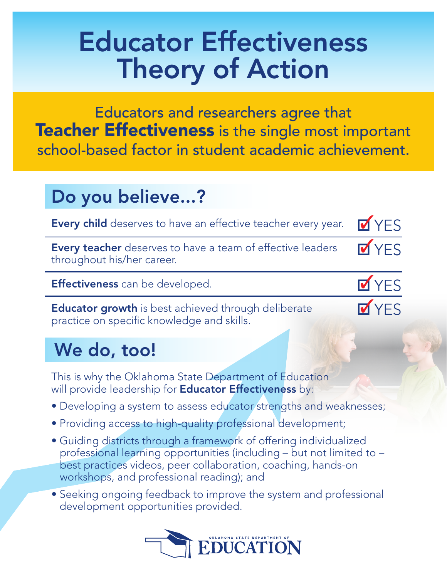# Educator Effectiveness Theory of Action

Educators and researchers agree that Teacher Effectiveness is the single most important school-based factor in student academic achievement.

### Do you believe...?

| <b>Every child</b> deserves to have an effective teacher every year.                                     | <b>V</b> YES |
|----------------------------------------------------------------------------------------------------------|--------------|
| <b>Every teacher</b> deserves to have a team of effective leaders<br>throughout his/her career.          | <b>M</b> YES |
| Effectiveness can be developed.                                                                          | <b>V</b> YES |
| <b>Educator growth</b> is best achieved through deliberate<br>practice on specific knowledge and skills. | <b>V</b> YES |

## We do, too!

This is why the Oklahoma State Department of Education will provide leadership for **Educator Effectiveness** by:

- Developing a system to assess educator strengths and weaknesses;
- Providing access to high-quality professional development;
- Guiding districts through a framework of offering individualized professional learning opportunities (including – but not limited to – best practices videos, peer collaboration, coaching, hands-on workshops, and professional reading); and
- Seeking ongoing feedback to improve the system and professional development opportunities provided.